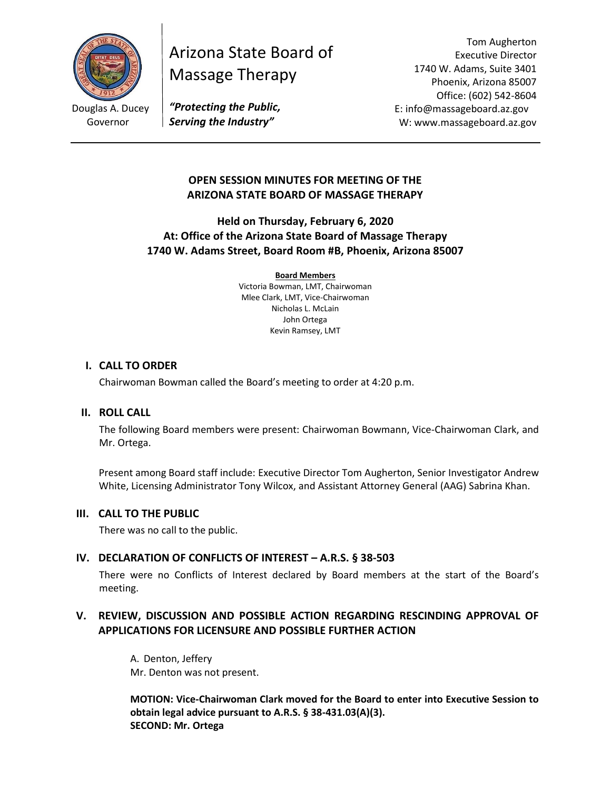

Arizona State Board of Massage Therapy

Tom Augherton Executive Director 1740 W. Adams, Suite 3401 Phoenix, Arizona 85007 Office: (602) 542-8604 E: info@massageboard.az.gov W: www.massageboard.az.gov

*"Protecting the Public, Serving the Industry"*

## **OPEN SESSION MINUTES FOR MEETING OF THE ARIZONA STATE BOARD OF MASSAGE THERAPY**

**Held on Thursday, February 6, 2020 At: Office of the Arizona State Board of Massage Therapy 1740 W. Adams Street, Board Room #B, Phoenix, Arizona 85007**

> **Board Members** Victoria Bowman, LMT, Chairwoman Mlee Clark, LMT, Vice-Chairwoman Nicholas L. McLain John Ortega Kevin Ramsey, LMT

#### **I. CALL TO ORDER**

Chairwoman Bowman called the Board's meeting to order at 4:20 p.m.

#### **II. ROLL CALL**

The following Board members were present: Chairwoman Bowmann, Vice-Chairwoman Clark, and Mr. Ortega.

Present among Board staff include: Executive Director Tom Augherton, Senior Investigator Andrew White, Licensing Administrator Tony Wilcox, and Assistant Attorney General (AAG) Sabrina Khan.

#### **III. CALL TO THE PUBLIC**

There was no call to the public.

### **IV. DECLARATION OF CONFLICTS OF INTEREST – A.R.S. § 38-503**

There were no Conflicts of Interest declared by Board members at the start of the Board's meeting.

# **V. REVIEW, DISCUSSION AND POSSIBLE ACTION REGARDING RESCINDING APPROVAL OF APPLICATIONS FOR LICENSURE AND POSSIBLE FURTHER ACTION**

A. Denton, Jeffery Mr. Denton was not present.

**MOTION: Vice-Chairwoman Clark moved for the Board to enter into Executive Session to obtain legal advice pursuant to A.R.S. § 38-431.03(A)(3). SECOND: Mr. Ortega**

Douglas A. Ducey Governor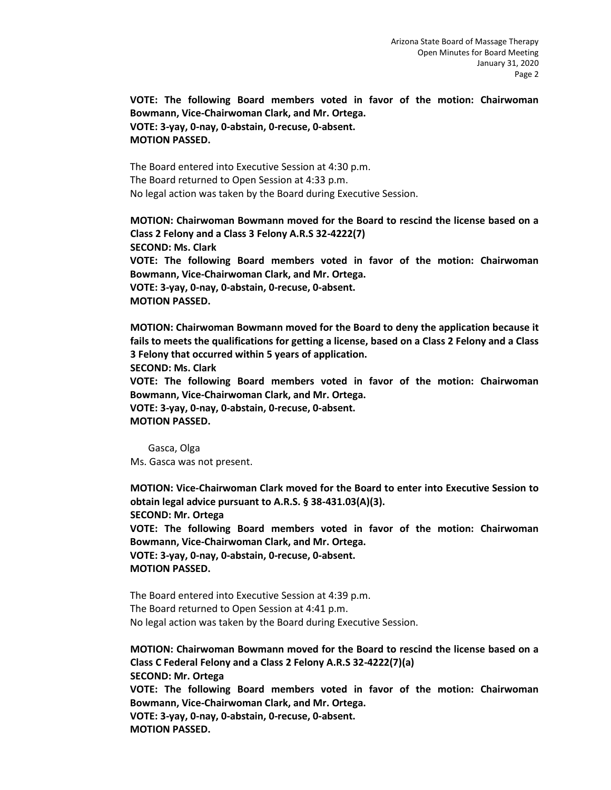**VOTE: The following Board members voted in favor of the motion: Chairwoman Bowmann, Vice-Chairwoman Clark, and Mr. Ortega. VOTE: 3-yay, 0-nay, 0-abstain, 0-recuse, 0-absent. MOTION PASSED.**

The Board entered into Executive Session at 4:30 p.m. The Board returned to Open Session at 4:33 p.m. No legal action was taken by the Board during Executive Session.

**MOTION: Chairwoman Bowmann moved for the Board to rescind the license based on a Class 2 Felony and a Class 3 Felony A.R.S 32-4222(7) SECOND: Ms. Clark VOTE: The following Board members voted in favor of the motion: Chairwoman Bowmann, Vice-Chairwoman Clark, and Mr. Ortega. VOTE: 3-yay, 0-nay, 0-abstain, 0-recuse, 0-absent. MOTION PASSED.**

**MOTION: Chairwoman Bowmann moved for the Board to deny the application because it fails to meets the qualifications for getting a license, based on a Class 2 Felony and a Class 3 Felony that occurred within 5 years of application.**

**SECOND: Ms. Clark** 

**VOTE: The following Board members voted in favor of the motion: Chairwoman Bowmann, Vice-Chairwoman Clark, and Mr. Ortega.**

**VOTE: 3-yay, 0-nay, 0-abstain, 0-recuse, 0-absent. MOTION PASSED.**

Gasca, Olga Ms. Gasca was not present.

**MOTION: Vice-Chairwoman Clark moved for the Board to enter into Executive Session to obtain legal advice pursuant to A.R.S. § 38-431.03(A)(3). SECOND: Mr. Ortega VOTE: The following Board members voted in favor of the motion: Chairwoman Bowmann, Vice-Chairwoman Clark, and Mr. Ortega. VOTE: 3-yay, 0-nay, 0-abstain, 0-recuse, 0-absent. MOTION PASSED.**

The Board entered into Executive Session at 4:39 p.m. The Board returned to Open Session at 4:41 p.m. No legal action was taken by the Board during Executive Session.

**MOTION: Chairwoman Bowmann moved for the Board to rescind the license based on a Class C Federal Felony and a Class 2 Felony A.R.S 32-4222(7)(a) SECOND: Mr. Ortega VOTE: The following Board members voted in favor of the motion: Chairwoman Bowmann, Vice-Chairwoman Clark, and Mr. Ortega. VOTE: 3-yay, 0-nay, 0-abstain, 0-recuse, 0-absent. MOTION PASSED.**